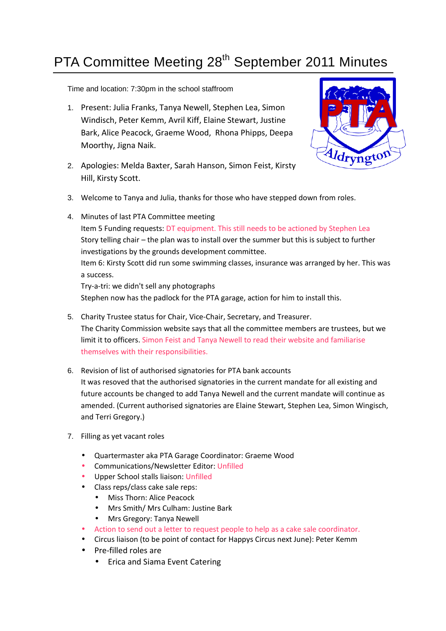## PTA Committee Meeting 28<sup>th</sup> September 2011 Minutes

## Time and location: 7:30pm in the school staffroom

1. Present: Julia Franks, Tanya Newell, Stephen Lea, Simon Windisch, Peter Kemm, Avril Kiff, Elaine Stewart, Justine Bark, Alice Peacock, Graeme Wood, Rhona Phipps, Deepa Moorthy, Jigna Naik.



- 2. Apologies: Melda Baxter, Sarah Hanson, Simon Feist, Kirsty Hill, Kirsty Scott.
- 3. Welcome to Tanya and Julia, thanks for those who have stepped down from roles.
- 4. Minutes of last PTA Committee meeting Item 5 Funding requests: DT equipment. This still needs to be actioned by Stephen Lea Story telling chair – the plan was to install over the summer but this is subject to further investigations by the grounds development committee. Item 6: Kirsty Scott did run some swimming classes, insurance was arranged by her. This was a success. Try-a-tri: we didn't sell any photographs Stephen now has the padlock for the PTA garage, action for him to install this.
- 5. Charity Trustee status for Chair, Vice-Chair, Secretary, and Treasurer. The Charity Commission website says that all the committee members are trustees, but we limit it to officers. Simon Feist and Tanya Newell to read their website and familiarise themselves with their responsibilities.
- 6. Revision of list of authorised signatories for PTA bank accounts It was resoved that the authorised signatories in the current mandate for all existing and future accounts be changed to add Tanya Newell and the current mandate will continue as amended. (Current authorised signatories are Elaine Stewart, Stephen Lea, Simon Wingisch, and Terri Gregory.)
- 7. Filling as yet vacant roles
	- Quartermaster aka PTA Garage Coordinator: Graeme Wood
	- Communications/Newsletter Editor: Unfilled
	- Upper School stalls liaison: Unfilled
	- Class reps/class cake sale reps:
		- Miss Thorn: Alice Peacock
		- Mrs Smith/ Mrs Culham: Justine Bark
		- Mrs Gregory: Tanya Newell
	- Action to send out a letter to request people to help as a cake sale coordinator.
	- Circus liaison (to be point of contact for Happys Circus next June): Peter Kemm
	- Pre-filled roles are
		- Erica and Siama Event Catering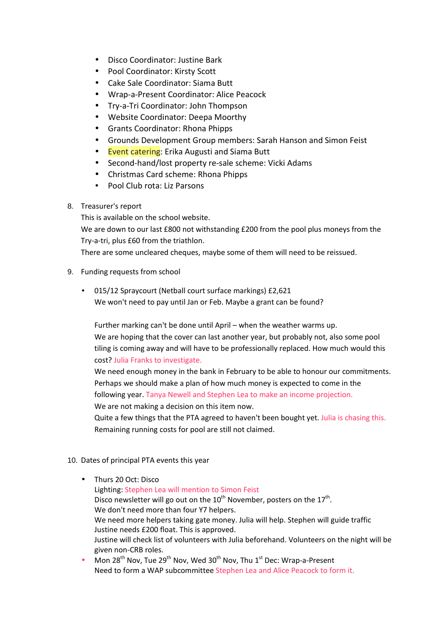- Disco Coordinator: Justine Bark
- Pool Coordinator: Kirsty Scott
- Cake Sale Coordinator: Siama Butt
- Wrap-a-Present Coordinator: Alice Peacock
- Try-a-Tri Coordinator: John Thompson
- Website Coordinator: Deepa Moorthy
- Grants Coordinator: Rhona Phipps
- Grounds Development Group members: Sarah Hanson and Simon Feist
- Event catering: Erika Augusti and Siama Butt
- Second-hand/lost property re-sale scheme: Vicki Adams
- Christmas Card scheme: Rhona Phipps
- Pool Club rota: Liz Parsons
- 8. Treasurer's report

This is available on the school website.

We are down to our last £800 not withstanding £200 from the pool plus moneys from the Try-a-tri, plus £60 from the triathlon.

There are some uncleared cheques, maybe some of them will need to be reissued.

- 9. Funding requests from school
	- 015/12 Spraycourt (Netball court surface markings) £2,621 We won't need to pay until Jan or Feb. Maybe a grant can be found?

Further marking can't be done until April – when the weather warms up. We are hoping that the cover can last another year, but probably not, also some pool tiling is coming away and will have to be professionally replaced. How much would this cost? Julia Franks to investigate.

We need enough money in the bank in February to be able to honour our commitments. Perhaps we should make a plan of how much money is expected to come in the following year. Tanya Newell and Stephen Lea to make an income projection.

We are not making a decision on this item now.

Quite a few things that the PTA agreed to haven't been bought yet. Julia is chasing this. Remaining running costs for pool are still not claimed.

- 10. Dates of principal PTA events this year
	- Thurs 20 Oct: Disco Lighting: Stephen Lea will mention to Simon Feist Disco newsletter will go out on the 10<sup>th</sup> November, posters on the 17<sup>th</sup>. We don't need more than four Y7 helpers. We need more helpers taking gate money. Julia will help. Stephen will guide traffic Justine needs £200 float. This is approved. Justine will check list of volunteers with Julia beforehand. Volunteers on the night will be given non-CRB roles.
	- Mon 28<sup>th</sup> Nov, Tue 29<sup>th</sup> Nov, Wed 30<sup>th</sup> Nov, Thu 1<sup>st</sup> Dec: Wrap-a-Present Need to form a WAP subcommittee Stephen Lea and Alice Peacock to form it.